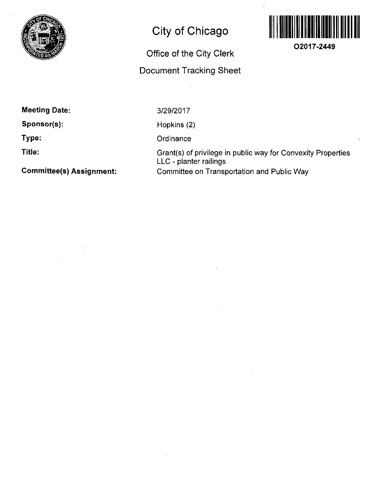

# **City of Chicago**

## **Office of the City Clerk**

### **Document Tracking Sheet**



**02017-2449** 

**Meeting Date:** 

**Sponsor(s):** 

**Type:** 

**Title:** 

**Committee(s) Assignment:** 

3/29/2017

Hopkins (2)

**Ordinance** 

Grant(s) of privilege in public way for Convexity Properties LLC - planter railings Comnnittee on Transportation and Public Way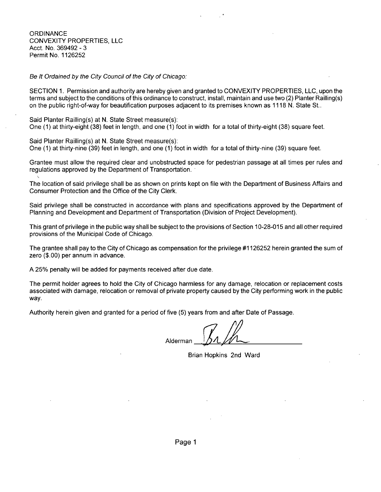**ORDINANCE** CONVEXITY PROPERTIES, LLC Acct. No. 369492 - 3 Permit No. 1126252

Be It Ordained by the City Council of the City of Chicago:

SECTION 1. Permission and authority are hereby given and granted to CONVEXITY PROPERTIES, LLC, upon the terms and subject to the conditions of this ordinance to construct, install, maintain and use two (2) Planter Railling(s) on the public right-of-way for beautification purposes adjacent to its premises known as 1118 N. State St..

Said Planter Railling(s) at N. State Street measure(s):<br>One (1) at thirty-eight (38) feet in length, and one (1) foot in width for a total of thirty-eight (38) square feet.

Said Planter Railling(s) at N. State Street measure(s):

One (1) at thirty-nine (39) feet in length, and one (1) foot in width for a total of thirty-nine (39) square feet.

Grantee must allow the required clear and unobstructed space for pedestrian passage at all times per rules and regulations approved by the Department of Transportation.

The location of said privilege shall be as shown on prints kept on file with the Department of Business Affairs and Consumer Protection and the Office of the City Clerk.

Said privilege shall be constructed in accordance with plans and specifications approved by the Department of Planning and Development and Department of Transportation (Division of Project Development).

This grant of privilege in the public way shall be subject to the provisions of Section 10-28-015 and all other required provisions of the Municipal Code of Chicago.

The grantee shall pay to the City of Chicago as compensation forthe privilege #1126252 herein granted the sum of zero (\$.00) per annum in advance.

A 25% penalty will be added for payments received after due date.

The permit holder agrees to hold the City of Chicago harmless for any damage, relocation or replacement costs associated with damage, relocation or removal of private property caused by the City performing work in the public way.

Authority herein given and granted for a period of five (5) years from and after Date of Passage.

Alderman

Brian Hopkins 2nd Ward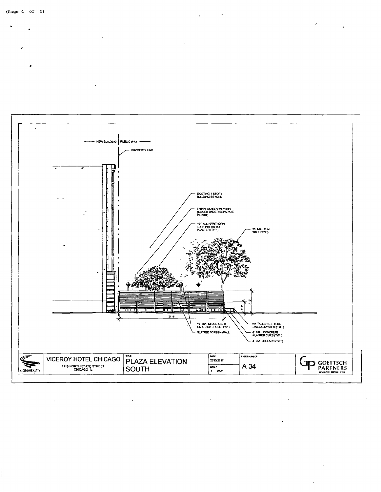

(Page 4 of 5)